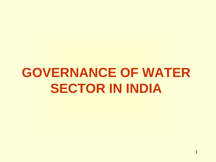# **GOVERNANCE OF WATER SECTOR IN INDIA**

1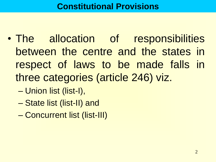- The allocation of responsibilities between the centre and the states in respect of laws to be made falls in three categories (article 246) viz.
	- Union list (list-I),
	- State list (list-II) and
	- Concurrent list (list-III)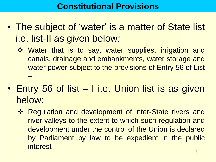- The subject of 'water' is a matter of State list i.e. list-II as given below*:*
	- ❖ Water that is to say, water supplies, irrigation and canals, drainage and embankments, water storage and water power subject to the provisions of Entry 56 of List  $-1.$
- Entry 56 of list I i.e. Union list is as given below:
	- **\*** Regulation and development of inter-State rivers and river valleys to the extent to which such regulation and development under the control of the Union is declared by Parliament by law to be expedient in the public interest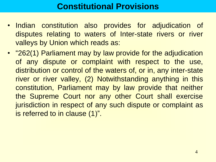# **Constitutional Provisions**

- Indian constitution also provides for adjudication of disputes relating to waters of Inter-state rivers or river valleys by Union which reads as:
- "262(1) Parliament may by law provide for the adjudication of any dispute or complaint with respect to the use, distribution or control of the waters of, or in, any inter-state river or river valley, (2) Notwithstanding anything in this constitution, Parliament may by law provide that neither the Supreme Court nor any other Court shall exercise jurisdiction in respect of any such dispute or complaint as is referred to in clause (1)".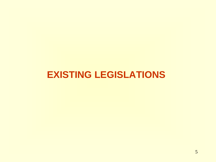# **EXISTING LEGISLATIONS**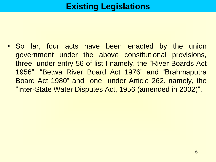• So far, four acts have been enacted by the union government under the above constitutional provisions, three under entry 56 of list I namely, the "River Boards Act 1956", "Betwa River Board Act 1976" and "Brahmaputra Board Act 1980" and one under Article 262, namely, the "Inter-State Water Disputes Act, 1956 (amended in 2002)".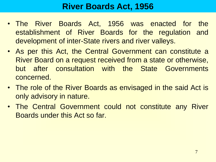# **River Boards Act, 1956**

- The River Boards Act, 1956 was enacted for the establishment of River Boards for the regulation and development of inter-State rivers and river valleys.
- As per this Act, the Central Government can constitute a River Board on a request received from a state or otherwise, but after consultation with the State Governments concerned.
- The role of the River Boards as envisaged in the said Act is only advisory in nature.
- The Central Government could not constitute any River Boards under this Act so far.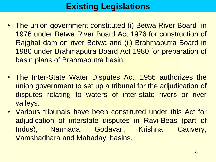- The union government constituted (i) Betwa River Board in 1976 under Betwa River Board Act 1976 for construction of Rajghat dam on river Betwa and (ii) Brahmaputra Board in 1980 under Brahmaputra Board Act 1980 for preparation of basin plans of Brahmaputra basin.
- The Inter-State Water Disputes Act, 1956 authorizes the union government to set up a tribunal for the adjudication of disputes relating to waters of inter-state rivers or river valleys.
- Various tribunals have been constituted under this Act for adjudication of interstate disputes in Ravi-Beas (part of Indus), Narmada, Godavari, Krishna, Cauvery, Vamshadhara and Mahadayi basins.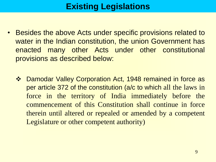- Besides the above Acts under specific provisions related to water in the Indian constitution, the union Government has enacted many other Acts under other constitutional provisions as described below:
	- Damodar Valley Corporation Act, 1948 remained in force as per article 372 of the constitution (a/c to which all the laws in force in the territory of India immediately before the commencement of this Constitution shall continue in force therein until altered or repealed or amended by a competent Legislature or other competent authority)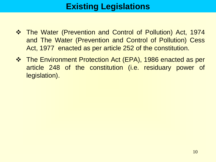- The Water (Prevention and Control of Pollution) Act, 1974 and The Water (Prevention and Control of Pollution) Cess Act, 1977 enacted as per article 252 of the constitution.
- The Environment Protection Act (EPA), 1986 enacted as per article 248 of the constitution (i.e. residuary power of legislation).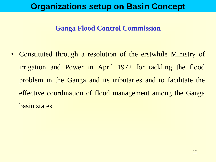#### **Ganga Flood Control Commission**

• Constituted through a resolution of the erstwhile Ministry of irrigation and Power in April 1972 for tackling the flood problem in the Ganga and its tributaries and to facilitate the effective coordination of flood management among the Ganga basin states.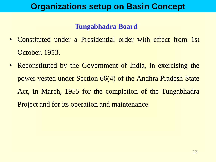#### **Tungabhadra Board**

- Constituted under a Presidential order with effect from 1st October, 1953.
- Reconstituted by the Government of India, in exercising the power vested under Section 66(4) of the Andhra Pradesh State Act, in March, 1955 for the completion of the Tungabhadra Project and for its operation and maintenance.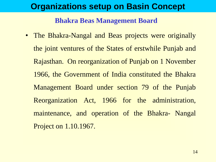#### **Bhakra Beas Management Board**

• The Bhakra-Nangal and Beas projects were originally the joint ventures of the States of erstwhile Punjab and Rajasthan. On reorganization of Punjab on 1 November 1966, the Government of India constituted the Bhakra Management Board under section 79 of the Punjab Reorganization Act, 1966 for the administration, maintenance, and operation of the Bhakra- Nangal Project on 1.10.1967.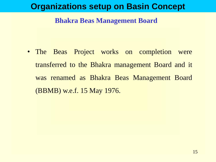#### **Bhakra Beas Management Board**

• The Beas Project works on completion were transferred to the Bhakra management Board and it was renamed as Bhakra Beas Management Board (BBMB) w.e.f. 15 May 1976.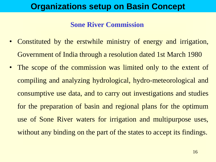#### **Sone River Commission**

- Constituted by the erstwhile ministry of energy and irrigation, Government of India through a resolution dated 1st March 1980
- The scope of the commission was limited only to the extent of compiling and analyzing hydrological, hydro-meteorological and consumptive use data, and to carry out investigations and studies for the preparation of basin and regional plans for the optimum use of Sone River waters for irrigation and multipurpose uses, without any binding on the part of the states to accept its findings.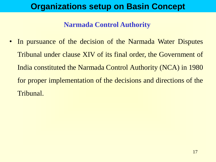#### **Narmada Control Authority**

• In pursuance of the decision of the Narmada Water Disputes Tribunal under clause XIV of its final order, the Government of India constituted the Narmada Control Authority (NCA) in 1980 for proper implementation of the decisions and directions of the Tribunal.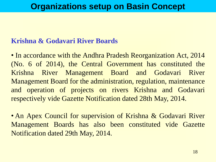#### **Krishna & Godavari River Boards**

• In accordance with the Andhra Pradesh Reorganization Act, 2014 (No. 6 of 2014), the Central Government has constituted the Krishna River Management Board and Godavari River Management Board for the administration, regulation, maintenance and operation of projects on rivers Krishna and Godavari respectively vide Gazette Notification dated 28th May, 2014.

• An Apex Council for supervision of Krishna & Godavari River Management Boards has also been constituted vide Gazette Notification dated 29th May, 2014.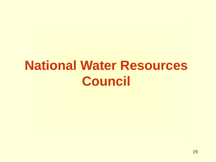# **National Water Resources Council**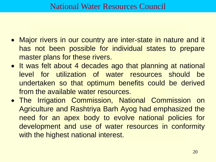### National Water Resources Council

- Major rivers in our country are inter-state in nature and it has not been possible for individual states to prepare master plans for these rivers.
- It was felt about 4 decades ago that planning at national level for utilization of water resources should be undertaken so that optimum benefits could be derived from the available water resources.
- The Irrigation Commission, National Commission on Agriculture and Rashtriya Barh Ayog had emphasized the need for an apex body to evolve national policies for development and use of water resources in conformity with the highest national interest.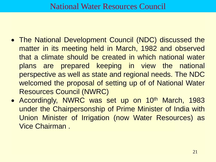- The National Development Council (NDC) discussed the matter in its meeting held in March, 1982 and observed that a climate should be created in which national water plans are prepared keeping in view the national perspective as well as state and regional needs. The NDC welcomed the proposal of setting up of of National Water Resources Council (NWRC)
- Accordingly, NWRC was set up on 10<sup>th</sup> March, 1983 under the Chairpersonship of Prime Minister of India with Union Minister of Irrigation (now Water Resources) as Vice Chairman .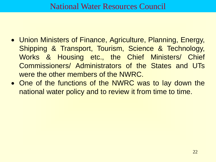### National Water Resources Council

- Union Ministers of Finance, Agriculture, Planning, Energy, Shipping & Transport, Tourism, Science & Technology, Works & Housing etc., the Chief Ministers/ Chief Commissioners/ Administrators of the States and UTs were the other members of the NWRC.
- One of the functions of the NWRC was to lay down the national water policy and to review it from time to time.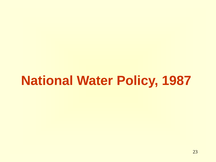# **National Water Policy, 1987**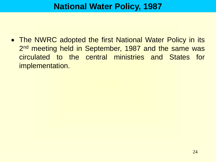# **National Water Policy, 1987**

• The NWRC adopted the first National Water Policy in its 2<sup>nd</sup> meeting held in September, 1987 and the same was circulated to the central ministries and States for implementation.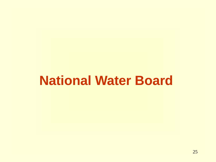# **National Water Board**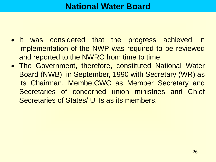### **National Water Board**

- It was considered that the progress achieved in implementation of the NWP was required to be reviewed and reported to the NWRC from time to time.
- The Government, therefore, constituted National Water Board (NWB) in September, 1990 with Secretary (WR) as its Chairman, Membe,CWC as Member Secretary and Secretaries of concerned union ministries and Chief Secretaries of States/ U Ts as its members.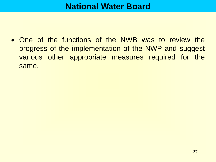### **National Water Board**

 One of the functions of the NWB was to review the progress of the implementation of the NWP and suggest various other appropriate measures required for the same.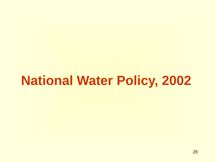# **National Water Policy, 2002**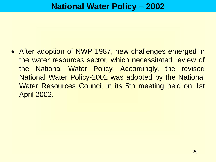After adoption of NWP 1987, new challenges emerged in the water resources sector, which necessitated review of the National Water Policy. Accordingly, the revised National Water Policy-2002 was adopted by the National Water Resources Council in its 5th meeting held on 1st April 2002.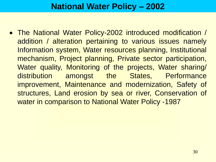# **National Water Policy – 2002**

 The National Water Policy-2002 introduced modification / addition / alteration pertaining to various issues namely Information system, Water resources planning, Institutional mechanism, Project planning, Private sector participation, Water quality, Monitoring of the projects, Water sharing/ distribution amongst the States, Performance improvement, Maintenance and modernization, Safety of structures, Land erosion by sea or river, Conservation of water in comparison to National Water Policy -1987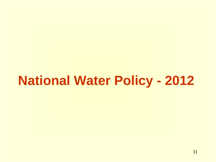# **National Water Policy - 2012**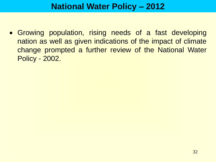## **National Water Policy – 2012**

 Growing population, rising needs of a fast developing nation as well as given indications of the impact of climate change prompted a further review of the National Water Policy - 2002.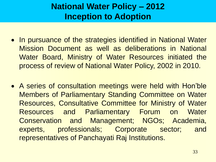- In pursuance of the strategies identified in National Water Mission Document as well as deliberations in National Water Board, Ministry of Water Resources initiated the process of review of National Water Policy, 2002 in 2010.
- A series of consultation meetings were held with Hon'ble Members of Parliamentary Standing Committee on Water Resources, Consultative Committee for Ministry of Water Resources and Parliamentary Forum on Water Conservation and Management; NGOs; Academia, experts, professionals; Corporate sector; and representatives of Panchayati Raj Institutions.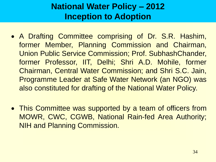- A Drafting Committee comprising of Dr. S.R. Hashim, former Member, Planning Commission and Chairman, Union Public Service Commission; Prof. SubhashChander, former Professor, IIT, Delhi; Shri A.D. Mohile, former Chairman, Central Water Commission; and Shri S.C. Jain, Programme Leader at Safe Water Network (an NGO) was also constituted for drafting of the National Water Policy.
- This Committee was supported by a team of officers from MOWR, CWC, CGWB, National Rain-fed Area Authority; NIH and Planning Commission.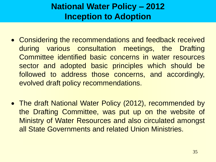- Considering the recommendations and feedback received during various consultation meetings, the Drafting Committee identified basic concerns in water resources sector and adopted basic principles which should be followed to address those concerns, and accordingly, evolved draft policy recommendations.
- The draft National Water Policy (2012), recommended by the Drafting Committee, was put up on the website of Ministry of Water Resources and also circulated amongst all State Governments and related Union Ministries.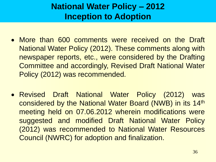- More than 600 comments were received on the Draft National Water Policy (2012). These comments along with newspaper reports, etc., were considered by the Drafting Committee and accordingly, Revised Draft National Water Policy (2012) was recommended.
- Revised Draft National Water Policy (2012) was considered by the National Water Board (NWB) in its 14th meeting held on 07.06.2012 wherein modifications were suggested and modified Draft National Water Policy (2012) was recommended to National Water Resources Council (NWRC) for adoption and finalization.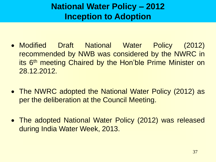- Modified Draft National Water Policy (2012) recommended by NWB was considered by the NWRC in its 6<sup>th</sup> meeting Chaired by the Hon'ble Prime Minister on 28.12.2012.
- The NWRC adopted the National Water Policy (2012) as per the deliberation at the Council Meeting.
- The adopted National Water Policy (2012) was released during India Water Week, 2013.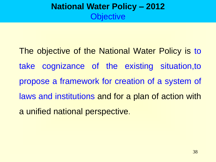# **National Water Policy – 2012 Objective**

The objective of the National Water Policy is to take cognizance of the existing situation,to propose a framework for creation of a system of laws and institutions and for a plan of action with a unified national perspective.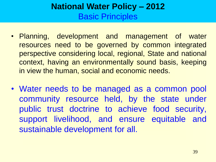# **National Water Policy – 2012** Basic Principles

- Planning, development and management of water resources need to be governed by common integrated perspective considering local, regional, State and national context, having an environmentally sound basis, keeping in view the human, social and economic needs.
- Water needs to be managed as a common pool community resource held, by the state under public trust doctrine to achieve food security, support livelihood, and ensure equitable and sustainable development for all.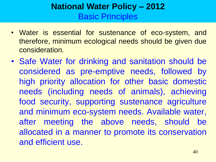# **National Water Policy – 2012** Basic Principles

- Water is essential for sustenance of eco-system, and therefore, minimum ecological needs should be given due consideration.
- Safe Water for drinking and sanitation should be considered as pre-emptive needs, followed by high priority allocation for other basic domestic needs (including needs of animals), achieving food security, supporting sustenance agriculture and minimum eco-system needs. Available water, after meeting the above needs, should be allocated in a manner to promote its conservation and efficient use.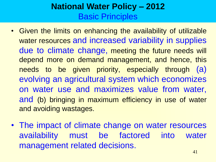# **National Water Policy – 2012** Basic Principles

- Given the limits on enhancing the availability of utilizable water resources and increased variability in supplies due to climate change, meeting the future needs will depend more on demand management, and hence, this needs to be given priority, especially through (a) evolving an agricultural system which economizes on water use and maximizes value from water, and (b) bringing in maximum efficiency in use of water and avoiding wastages.
- The impact of climate change on water resources availability must be factored into water management related decisions.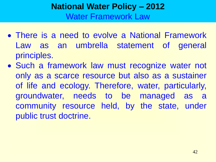# **National Water Policy – 2012** Water Framework Law

- There is a need to evolve a National Framework Law as an umbrella statement of general principles.
- Such a framework law must recognize water not only as a scarce resource but also as a sustainer of life and ecology. Therefore, water, particularly, groundwater, needs to be managed as a community resource held, by the state, under public trust doctrine.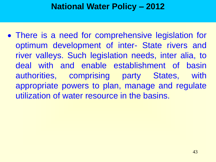# **National Water Policy – 2012**

• There is a need for comprehensive legislation for optimum development of inter- State rivers and river valleys. Such legislation needs, inter alia, to deal with and enable establishment of basin authorities, comprising party States, with appropriate powers to plan, manage and regulate utilization of water resource in the basins.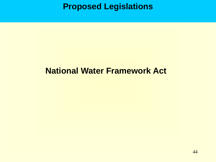**Proposed Legislations**

# **National Water Framework Act**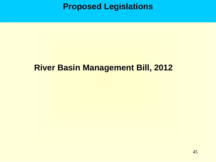**Proposed Legislations**

# **River Basin Management Bill, 2012**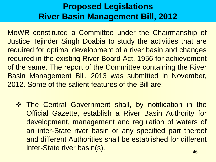MoWR constituted a Committee under the Chairmanship of Justice Tejinder Singh Doabia to study the activities that are required for optimal development of a river basin and changes required in the existing River Board Act, 1956 for achievement of the same. The report of the Committee containing the River Basin Management Bill, 2013 was submitted in November, 2012. Some of the salient features of the Bill are:

**\*** The Central Government shall, by notification in the Official Gazette, establish a River Basin Authority for development, management and regulation of waters of an inter-State river basin or any specified part thereof and different Authorities shall be established for different inter-State river basin(s).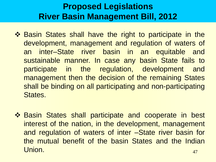- ❖ Basin States shall have the right to participate in the development, management and regulation of waters of an inter–State river basin in an equitable and sustainable manner. In case any basin State fails to participate in the regulation, development and management then the decision of the remaining States shall be binding on all participating and non-participating States.
- 47 ❖ Basin States shall participate and cooperate in best interest of the nation, in the development, management and regulation of waters of inter –State river basin for the mutual benefit of the basin States and the Indian Union.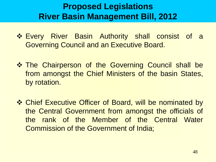- **Every River Basin Authority shall consist of a** Governing Council and an Executive Board.
- $\diamond$  **The Chairperson of the Governing Council shall be** from amongst the Chief Ministers of the basin States, by rotation.
- $\dots$  **Chief Executive Officer of Board, will be nominated by** the Central Government from amongst the officials of the rank of the Member of the Central Water Commission of the Government of India;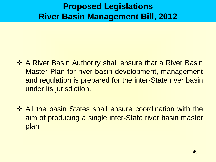- ❖ A River Basin Authority shall ensure that a River Basin Master Plan for river basin development, management and regulation is prepared for the inter-State river basin under its jurisdiction.
- $\triangle$  **All the basin States shall ensure coordination with the** aim of producing a single inter-State river basin master plan.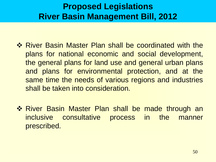- ❖ River Basin Master Plan shall be coordinated with the plans for national economic and social development, the general plans for land use and general urban plans and plans for environmental protection, and at the same time the needs of various regions and industries shall be taken into consideration.
- **\* River Basin Master Plan shall be made through an** inclusive consultative process in the manner prescribed.